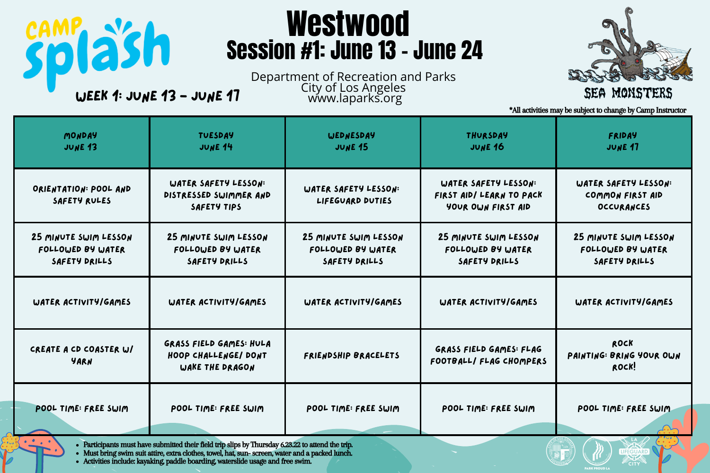| MONDAY<br>JUNE 13                                                                                                                                                                                                                                                                                            | <b>TUESDAY</b><br>JUNE 14                                                 | <b>WEDNESDAY</b><br><b>JUNE 15</b>                          | <b>THURSDAY</b><br><b>JUNE 16</b>                                      | <b>FRIDAY</b><br><b>JUNE 17</b>                             |  |  |
|--------------------------------------------------------------------------------------------------------------------------------------------------------------------------------------------------------------------------------------------------------------------------------------------------------------|---------------------------------------------------------------------------|-------------------------------------------------------------|------------------------------------------------------------------------|-------------------------------------------------------------|--|--|
| ORIENTATION: POOL AND<br>SAFETY RULES                                                                                                                                                                                                                                                                        | WATER SAFETY LESSON:<br>DISTRESSED SWIMMER AND<br>SAFETY TIPS             | WATER SAFETY LESSON:<br>LIFEGUARD DUTIES                    | WATER SAFETY LESSON:<br>FIRST AID/ LEARN TO PACK<br>YOUR OWN FIRST AID | WATER SAFETY LESSON:<br>COMMON FIRST AID<br>OCCURANCES      |  |  |
| 25 MINUTE SWIM LESSON<br>FOLLOWED BY WATER<br>SAFETY DRILLS                                                                                                                                                                                                                                                  | 25 MINUTE SWIM LESSON<br>FOLLOWED BY WATER<br>SAFETY DRILLS               | 25 MINUTE SWIM LESSON<br>FOLLOWED BY WATER<br>SAFETY DRILLS | 25 MINUTE SWIM LESSON<br>FOLLOWED BY WATER<br>SAFETY DRILLS            | 25 MINUTE SWIM LESSON<br>FOLLOWED BY WATER<br>SAFETY DRILLS |  |  |
| WATER ACTIVITY/GAMES                                                                                                                                                                                                                                                                                         | WATER ACTIVITY/GAMES                                                      | WATER ACTIVITY/GAMES                                        | WATER ACTIVITY/GAMES                                                   | WATER ACTIVITY/GAMES                                        |  |  |
| CREATE A CD COASTER W/<br>YARN                                                                                                                                                                                                                                                                               | <b>GRASS FIELD GAMES: HULA</b><br>HOOP CHALLENGE/ DONT<br>WAKE THE DRAGON | FRIENDSHIP BRACELETS                                        | <b>GRASS FIELD GAMES: FLAG</b><br>FOOTBALL/ FLAG CHOMPERS              | ROCK<br>PAINTING: BRING YOUR OWN<br>ROCK!                   |  |  |
| POOL TIME: FREE SWIM                                                                                                                                                                                                                                                                                         | POOL TIME: FREE SWIM                                                      | POOL TIME: FREE SWIM                                        | POOL TIME: FREE SWIM                                                   | POOL TIME: FREE SWIM                                        |  |  |
| • Participants must have submitted their field trip slips by Thursday 6.23.22 to attend the trip.<br><b>LIFEGUARD</b><br>• Must bring swim suit attire, extra clothes, towel, hat, sun-screen, water and a packed lunch.<br>• Activities include: kayaking, paddle boarding, waterslide usage and free swim. |                                                                           |                                                             |                                                                        |                                                             |  |  |



## SEA MONSTERS

Department of Recreation and Parks WEEK 1: JUNE 13 - JUNE 17 The City of Los Angeles

jsh

## Westwood Session #1: June 13 - June 24

\*All activities may be subject to change by Camp Instructor